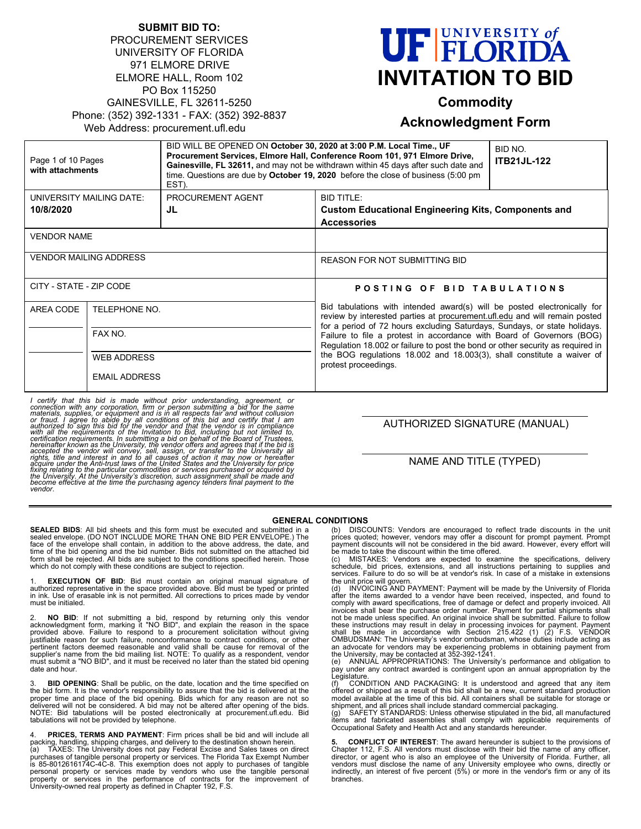| <b>SUBMIT BID TO:</b>                       |  |
|---------------------------------------------|--|
| <b>PROCUREMENT SERVICES</b>                 |  |
| UNIVERSITY OF FLORIDA                       |  |
| 971 ELMORE DRIVE                            |  |
| ELMORE HALL, Room 102                       |  |
| PO Box 115250                               |  |
| GAINESVILLE, FL 32611-5250                  |  |
| Phone: (352) 392-1331 - FAX: (352) 392-8837 |  |
| Web Address: procurement.ufl.edu            |  |
|                                             |  |

# **UF FLORIDA INVITATION TO BID**

# **Commodity**

#### **Acknowledgment Form**

| Page 1 of 10 Pages<br>with attachments |                                                | BID WILL BE OPENED ON October 30, 2020 at 3:00 P.M. Local Time., UF<br>EST). | Procurement Services, Elmore Hall, Conference Room 101, 971 Elmore Drive,<br>Gainesville, FL 32611, and may not be withdrawn within 45 days after such date and<br>time. Questions are due by October 19, 2020 before the close of business (5:00 pm                                                                                                                                                                                                                                             | BID NO.<br><b>ITB21JL-122</b> |
|----------------------------------------|------------------------------------------------|------------------------------------------------------------------------------|--------------------------------------------------------------------------------------------------------------------------------------------------------------------------------------------------------------------------------------------------------------------------------------------------------------------------------------------------------------------------------------------------------------------------------------------------------------------------------------------------|-------------------------------|
| UNIVERSITY MAILING DATE:               |                                                | PROCUREMENT AGENT                                                            | <b>BID TITLE:</b>                                                                                                                                                                                                                                                                                                                                                                                                                                                                                |                               |
| 10/8/2020                              |                                                | JL                                                                           | <b>Custom Educational Engineering Kits, Components and</b>                                                                                                                                                                                                                                                                                                                                                                                                                                       |                               |
|                                        |                                                |                                                                              | <b>Accessories</b>                                                                                                                                                                                                                                                                                                                                                                                                                                                                               |                               |
| <b>VENDOR NAME</b>                     |                                                |                                                                              |                                                                                                                                                                                                                                                                                                                                                                                                                                                                                                  |                               |
| <b>VENDOR MAILING ADDRESS</b>          |                                                | <b>REASON FOR NOT SUBMITTING BID</b>                                         |                                                                                                                                                                                                                                                                                                                                                                                                                                                                                                  |                               |
| CITY - STATE - ZIP CODE                |                                                | POSTING OF BID TABULATIONS                                                   |                                                                                                                                                                                                                                                                                                                                                                                                                                                                                                  |                               |
| AREA CODE                              | TELEPHONE NO.<br>FAX NO.<br><b>WEB ADDRESS</b> |                                                                              | Bid tabulations with intended award(s) will be posted electronically for<br>review by interested parties at procurement.ufl.edu and will remain posted<br>for a period of 72 hours excluding Saturdays, Sundays, or state holidays.<br>Failure to file a protest in accordance with Board of Governors (BOG)<br>Regulation 18.002 or failure to post the bond or other security as required in<br>the BOG regulations 18.002 and 18.003(3), shall constitute a waiver of<br>protest proceedings. |                               |
|                                        |                                                |                                                                              |                                                                                                                                                                                                                                                                                                                                                                                                                                                                                                  |                               |
|                                        |                                                |                                                                              |                                                                                                                                                                                                                                                                                                                                                                                                                                                                                                  |                               |
|                                        | <b>EMAIL ADDRESS</b>                           |                                                                              |                                                                                                                                                                                                                                                                                                                                                                                                                                                                                                  |                               |

I certify that this bid is made without prior understanding, agreement, or connection with any corporation, firm or person submitting a bid for the same materials, supplies, or equipment and is in all respects fair and wit

AUTHORIZED SIGNATURE (MANUAL)

#### NAME AND TITLE (TYPED)

#### **GENERAL CONDITIONS**

**SEALED BIDS**: All bid sheets and this form must be executed and submitted in a sealed envelope. (DO NOT INCLUDE MORE THAN ONE BID PER ENVELOPE.) The face of the envelope shall contain, in addition to the above address, the date, and time of the bid opening and the bid number. Bids not submitted on the attached bid form shall be rejected. All bids are subject to the conditions specified herein. Those which do not comply with these conditions are subject to rejection.

1. **EXECUTION OF BID**: Bid must contain an original manual signature of<br>authorized representative in the space provided above. Bid must be typed or printed<br>in ink. Use of erasable ink is not permitted. All co must be initialed.

2. **NO BID**: If not submitting a bid, respond by returning only this vendor<br>acknowledgment form, marking it "NO BID", and explain the reason in the space<br>provided above. Failure to respond to a procurement solicitation wi justifiable reason for such failure, nonconformance to contract conditions, or other<br>pertinent factors deemed reasonable and valid shall be cause for removal of the<br>supplier's name from the bid mailing list. NOTE: To quali date and hour.

3. **BID OPENING**: Shall be public, on the date, location and the time specified on the bid form. It is the vendor's responsibility to assure that the bid is delivered at the proper time and place of the bid opening. Bids which for any reason are not so<br>delivered will not be considered. A bid may not be altered after opening of the bids.<br>NOTE: Bid tabulations will be posted electronically at pr tabulations will not be provided by telephone.

PRICES, TERMS AND PAYMENT: Firm prices shall be bid and will include all packing, handling, shipping charges, and delivery to the destination shown herein.<br>(a) TAXES: The University does not pay Federal Excise and Sales taxes on direct<br>purchases of tangible personal property or services. The F is 85-8012616174C-4C-8. This exemption does not apply to purchases of tangible<br>personal property or services made by vendors who use the tangible personal<br>property or services in the performance of contracts for the improv (b) DISCOUNTS: Vendors are encouraged to reflect trade discounts in the unit prices quoted; however, vendors may offer a discount for prompt payment. Prompt payment discounts will not be considered in the bid award. However, every effort will

be made to take the discount within the time offered.<br>(c) MISTAKES: Vendors are expected to examine the specifications, delivery<br>schedule, bid prices, extensions, and all instructions pertaining to supplie services. Failure to do so will be at vendor's risk. In case of a mistake in extensions the unit price will govern.

(d) INVOICING AND PAYMENT: Payment will be made by the University of Florida<br>after the items awarded to a vendor have been received, inspected, and found to<br>comply with award specifications, free of damage or defect and p invoices shall bear the purchase order number. Payment for partial shipments shall not be made unless specified. An original invoice shall be submitted. Failure to follow<br>these instructions may result in delay in processing invoices for payment. Payment<br>shall be made in accordance with Section 215.422 (1

the University, may be contacted at 352-392-1241. (e) ANNUAL APPROPRIATIONS: The University's performance and obligation to pay under any contract awarded is contingent upon an annual appropriation by the **Legislature** 

findition.<br>CONDITION AND PACKAGING: It is understood and agreed that any item offered or shipped as a result of this bid shall be a new, current standard production model available at the time of this bid. All containers shall be suitable for storage or<br>shipment, and all prices shall include standard commercial packaging.<br>(g) SAFETY STANDARDS: Unless otherwise stipulated in the bid

items and fabricated assemblies shall comply with applicable requirements of Occupational Safety and Health Act and any standards hereunder.

**5. CONFLICT OF INTEREST**: The award hereunder is subject to the provisions of<br>Chapter 112, F.S. All vendors must disclose with their bid the name of any officer, director, or agent who is also an employee of the University of Florida. Further, all vendors must disclose the name of any University employee who owns, directly or indirectly, an interest of five percent (5%) or more in the vendor's firm or any of its branches.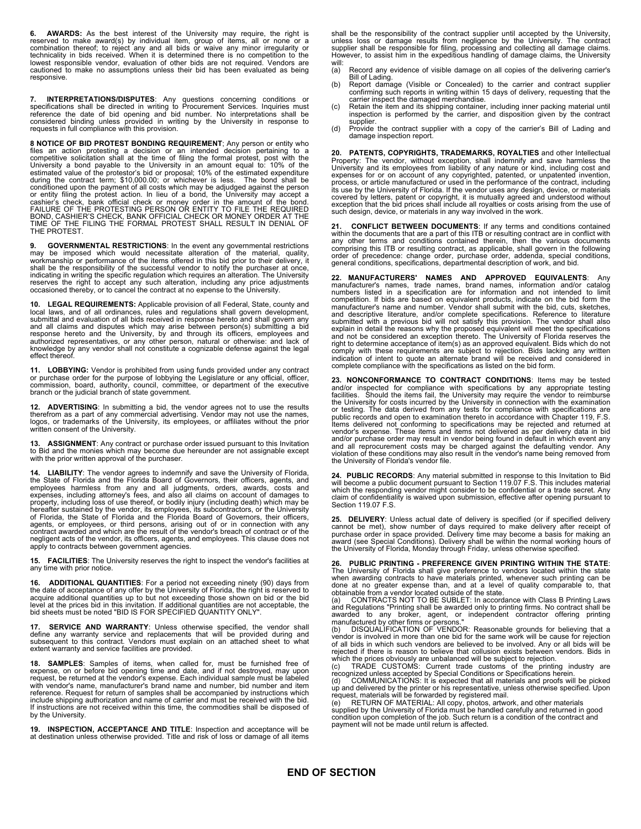**6. AWARDS:** As the best interest of the University may require, the right is reserved to make award(s) by individual item, group of items, all or none or a<br>combination thereof; to reject any and all bids or waive any minor irregularity or<br>technicality in bids received. When it is determined there i lowest responsible vendor, evaluation of other bids are not required. Vendors are cautioned to make no assumptions unless their bid has been evaluated as being responsive.

7. **INTERPRETATIONS/DISPUTES:** Any questions concerning conditions or specifications shall be directed in writing to Procurement Services. Inquiries must reference the date of bid opening and bid number. No interpretations

**8 NOTICE OF BID PROTEST BONDING REQUIREMENT**; Any person or entity who files an action protesting a decision or an intended decision pertaining to a competitive solicitation shall at the time of filing the formal protest, post with the University a bond payable to the University in an amount conditioned upon the payment of all costs which may be adjudged against the person or entity filing the protest action. In lieu of a bond, the University may accept a<br>cashier's check, bank official check or money order in the amount of the bond.<br>FAILURE OF THE PROTESTING PERSON OR ENTITY TO FILE THE REQU TIME OF THE FILING THE FORMAL PROTEST SHALL RESULT IN DENIAL OF THE PROTEST.

**9. GOVERNMENTAL RESTRICTIONS**: In the event any governmental restrictions<br>may be imposed which would necessitate alteration of the material, quality,<br>workmanship or performance of the items offered in this b shall be the responsibility of the successful vendor to notify the purchaser at once, indicating in writing the specific regulation which requires an alteration. The University<br>reserves the right to accept any such alteration, including any price adjustments<br>occasioned thereby, or to cancel the contract at

**10. LEGAL REQUIREMENTS:** Applicable provision of all Federal, State, county and local laws, and of all ordinances, rules and regulations shall govern development, submittal and evaluation of all bids received in response hereto and shall govern any and all claims and disputes which may arise between person(s) submitting a bid response hereto and the University, by and through its officers, employees and<br>authorized representatives, or any other person, natural or otherwise: and lack of<br>knowledge by any vendor shall not constitute a cognizable de effect thereof.

**11. LOBBYING:** Vendor is prohibited from using funds provided under any contract or purchase order for the purpose of lobbying the Legislature or any official, officer, commission, board, authority, council, committee, or department of the executive branch or the judicial branch of state government.

**12. ADVERTISING**: In submitting a bid, the vendor agrees not to use the results therefrom as a part of any commercial advertising. Vendor may not use the names, logos, or trademarks of the University, its employees, or affiliates without the prior written consent of the University.

**13. ASSIGNMENT**: Any contract or purchase order issued pursuant to this Invitation<br>to Bid and the monies which may become due hereunder are not assignable except<br>with the prior written approval of the purchaser.

**14. LIABILITY**: The vendor agrees to indemnify and save the University of Florida, the State of Florida and the Florida Board of Governors, their officers, agents, and employees harmless from any and all judgments, orders, awards, costs and expenses, including attorney's fees, and also all claims on account of damages to property, including loss of use thereof, or bodily injury (including death) which may be hereafter sustained by the vendor, its employees, its subcontractors, or the University of Florida, the State of Florida and the Florida Board of Governors, their officers, agents, or employees, or third persons, arising out of or in connection with any<br>contract awarded and which are the result of the vendor's breach of contract or of the<br>negligent acts of the vendor, its officers, agents, an apply to contracts between government agencies.

**15. FACILITIES**: The University reserves the right to inspect the vendor's facilities at any time with prior notice.

**16. ADDITIONAL QUANTITIES:** For a period not exceeding ninety (90) days from the date of acceptance of any offer by the University of Florida, the right is reserved to acquire additional quantities up to but not exceeding

**17. SERVICE AND WARRANTY**: Unless otherwise specified, the vendor shall<br>define any warranty service and replacements that will be provided during and<br>subsequent to this contract. Vendors must explain on an attached sheet extent warranty and service facilities are provided.

**18. SAMPLES**: Samples of items, when called for, must be furnished free of<br>expense, on or before bid opening time and date, and if not destroyed, may upon<br>request, be returned at the vendor's expense. Each individual samp with vendor's name, manufacturer's brand name and number, bid number and item<br>reference. Request for return of samples shall be accompanied by instructions which<br>include shipping authorization and name of carrier and must If instructions are not received within this time, the commodities shall be disposed of by the University.

**19. INSPECTION, ACCEPTANCE AND TITLE**: Inspection and acceptance will be at destination unless otherwise provided. Title and risk of loss or damage of all items shall be the responsibility of the contract supplier until accepted by the University, unless loss or damage results from negligence by the University. The contract<br>supplier shall be responsible for filing, processing and collecting all damage claims.<br>However, to assist him in the expeditious handling of dam

- will:<br>(a) Record any evidence of visible damage on all copies of the delivering carrier's Bill of Lading.
- (b) Report damage (Visible or Concealed) to the carrier and contract supplier confirming such reports in writing within 15 days of delivery, requesting that the carrier inspect the damaged merchandise.
- (c) Retain the item and its shipping container, including inner packing material until inspection is performed by the carrier, and disposition given by the contract
- supplier. (d) Provide the contract supplier with a copy of the carrier's Bill of Lading and damage inspection report.

20. PATENTS, COPYRIGHTS, TRADEMARKS, ROYALTIES and other Intellectual<br>Property: The vendor, without exception, shall indemnity and save harmless the<br>University and its employees from liability of any nature or kind, includ such design, device, or materials in any way involved in the work.

**21. CONFLICT BETWEEN DOCUMENTS**: If any terms and conditions contained within the documents that are a part of this ITB or resulting contract are in conflict with any other terms and conditions contained therein, then the various documents comprising this ITB or resulting contract, as applicable, shall govern in the following<br>order of precedence: change order, purchase order, addenda, special conditions,<br>general conditions, specifications, departmental descr

**22. MANUFACTURERS' NAMES AND APPROVED EQUIVALENTS**: Any manufacturer's names, trade names, brand names, information and/or catalog numbers listed in a specification are for information and not intended to limit competition. If bids are based on equivalent products, indicate on the bid form the manufacturer's name and number. Vendor shall submit with the bid, cuts, sketches, and descriptive literature, and/or complete specifications. Reference to literature<br>submitted with a previous bid will not satisfy this provision. The vendor shall also<br>explain in detail the reasons why the proposed equiva and not be considered an exception thereto. The University of Florida reserves the<br>right to determine acceptance of item(s) as an approved equivalent. Bids which do not<br>comply with these requirements are subject to rejecti indication of intent to quote an alternate brand will be received and considered in complete compliance with the specifications as listed on the bid form.

**23. NONCONFORMANCE TO CONTRACT CONDITIONS**: Items may be tested<br>and/or inspected for compliance with specifications by any appropriate testing<br>facilities. Should the items fail, the University may require the vendor to re the University for costs incurred by the University in connection with the examination<br>or testing. The data derived from any tests for compliance with specifications are<br>public records and open to examination thereto in ac ltems delivered not conforming to specifications may be rejected and returned at<br>vendor's expense. These items and items not delivered as per delivery data in bid<br>and/or purchase order may result in vendor being found in d and all reprocurement costs may be charged against the defaulting vendor. Any<br>violation of these conditions may also result in the vendor's name being removed from<br>the University of Florida's vendor file.

**24. PUBLIC RECORDS**: Any material submitted in response to this Invitation to Bid<br>will become a public document pursuant to Section 119.07 F.S. This includes material<br>which the responding vendor might consider to be confi Section 119.07 F.S.

**25. DELIVERY**: Unless actual date of delivery is specified (or if specified delivery cannot be met), show number of days required to make delivery after receipt of<br>purchase order in space provided. Delivery time may become a basis for making an<br>award (see Special Conditions). Delivery shall be within the n

**26. PUBLIC PRINTING - PREFERENCE GIVEN PRINTING WITHIN THE STATE**: The University of Florida shall give preference to vendors located within the state when awarding contracts to have materials printed, whenever such printing can be done at no greater expense than, and at a level of quality comparable to, that<br>obtainable from a vendor located outside of the state.<br>(a) CONTRACTS NOT TO BE SUBLET: In accordance with Class B Printing Laws

and Regulations "Printing shall be awarded only to printing firms. No contract shall be<br>awarded to any broker, agent, or independent contractor offering printing<br>manufactured by other firms or persons."<br>(b) DISQUALIFICATIO

of all bids in which such vendors are believed to be involved. Any or all bids will be rejected if there is reason to believe that collusion exists between vendors. Bids in which the prices obviously are unbalanced will be

condition upon completion of the job. Such return is a condition of the contract and payment will not be made until return is affected.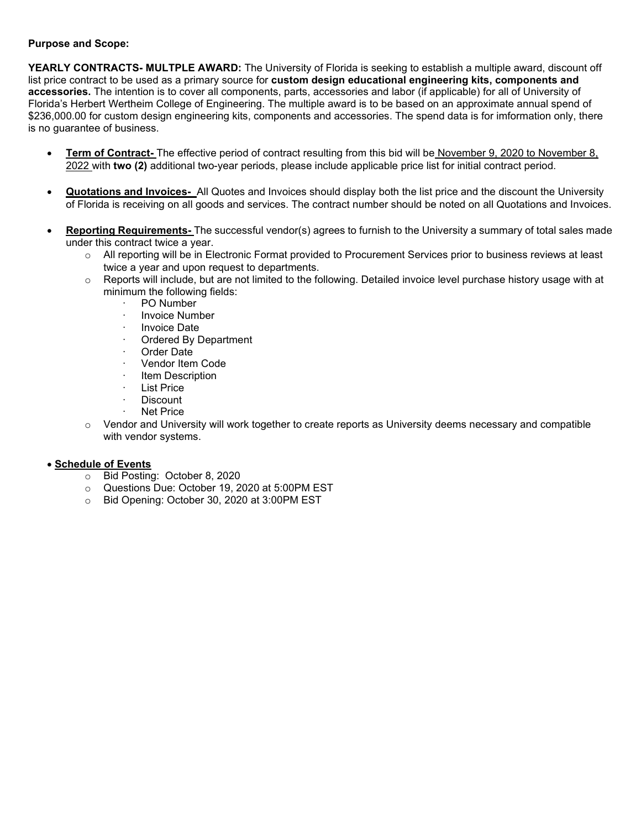#### **Purpose and Scope:**

**YEARLY CONTRACTS- MULTPLE AWARD:** The University of Florida is seeking to establish a multiple award, discount off list price contract to be used as a primary source for **custom design educational engineering kits, components and accessories.** The intention is to cover all components, parts, accessories and labor (if applicable) for all of University of Florida's Herbert Wertheim College of Engineering. The multiple award is to be based on an approximate annual spend of \$236,000.00 for custom design engineering kits, components and accessories. The spend data is for imformation only, there is no guarantee of business.

- **Term of Contract-** The effective period of contract resulting from this bid will be November 9, 2020 to November 8, 2022 with **two (2)** additional two-year periods, please include applicable price list for initial contract period.
- **Quotations and Invoices-** All Quotes and Invoices should display both the list price and the discount the University of Florida is receiving on all goods and services. The contract number should be noted on all Quotations and Invoices.
- **Reporting Requirements-** The successful vendor(s) agrees to furnish to the University a summary of total sales made under this contract twice a year.
	- o All reporting will be in Electronic Format provided to Procurement Services prior to business reviews at least twice a year and upon request to departments.
	- $\circ$  Reports will include, but are not limited to the following. Detailed invoice level purchase history usage with at minimum the following fields:
		- · PO Number
		- **Invoice Number**
		- Invoice Date
		- Ordered By Department
		- Order Date
		- Vendor Item Code
		- **Item Description**
		- List Price
		- **Discount**
		- **Net Price**
	- $\circ$  Vendor and University will work together to create reports as University deems necessary and compatible with vendor systems.

#### • **Schedule of Events**

- o Bid Posting: October 8, 2020
- o Questions Due: October 19, 2020 at 5:00PM EST
- o Bid Opening: October 30, 2020 at 3:00PM EST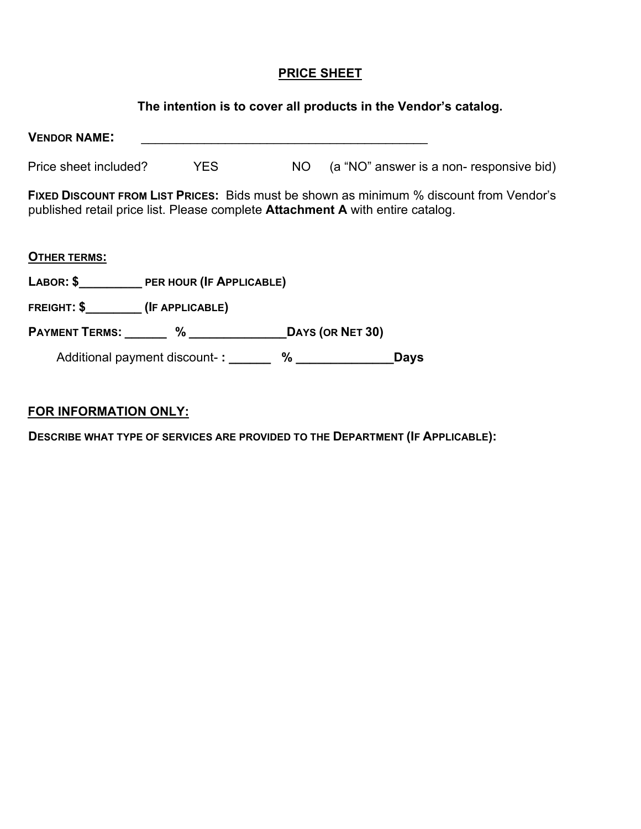### **PRICE SHEET**

# **The intention is to cover all products in the Vendor's catalog.**

| <b>VENDOR NAME:</b>                                       |                                  |      |                                                                                                                                                                                         |  |
|-----------------------------------------------------------|----------------------------------|------|-----------------------------------------------------------------------------------------------------------------------------------------------------------------------------------------|--|
| Price sheet included?                                     | YES                              | NO L | (a "NO" answer is a non-responsive bid)                                                                                                                                                 |  |
|                                                           |                                  |      | <b>FIXED DISCOUNT FROM LIST PRICES:</b> Bids must be shown as minimum % discount from Vendor's<br>published retail price list. Please complete <b>Attachment A</b> with entire catalog. |  |
| <b>OTHER TERMS:</b>                                       |                                  |      |                                                                                                                                                                                         |  |
| LABOR: \$ PER HOUR (IF APPLICABLE)                        |                                  |      |                                                                                                                                                                                         |  |
|                                                           |                                  |      |                                                                                                                                                                                         |  |
| PAYMENT TERMS: _______ % ________________DAYS (OR NET 30) |                                  |      |                                                                                                                                                                                         |  |
|                                                           | Additional payment discount-: 4% |      | <b>Days</b>                                                                                                                                                                             |  |

## **FOR INFORMATION ONLY:**

**DESCRIBE WHAT TYPE OF SERVICES ARE PROVIDED TO THE DEPARTMENT (IF APPLICABLE):**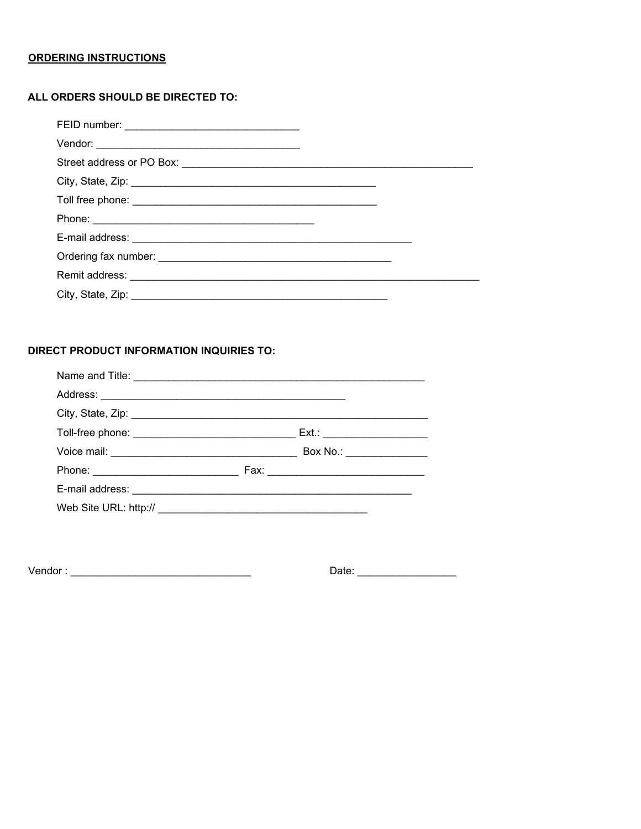#### **ORDERING INSTRUCTIONS**

#### ALL ORDERS SHOULD BE DIRECTED TO:

| Street address or PO Box: <b>contract and a street and a street and a street and a street and a street and a street and a street and a street and a street and a street and a street and a street and a street and a street and </b> |  |
|--------------------------------------------------------------------------------------------------------------------------------------------------------------------------------------------------------------------------------------|--|
|                                                                                                                                                                                                                                      |  |
|                                                                                                                                                                                                                                      |  |
|                                                                                                                                                                                                                                      |  |
|                                                                                                                                                                                                                                      |  |
|                                                                                                                                                                                                                                      |  |
|                                                                                                                                                                                                                                      |  |
|                                                                                                                                                                                                                                      |  |

#### DIRECT PRODUCT INFORMATION INQUIRIES TO:

| Box No.: ________________ |
|---------------------------|
|                           |
|                           |
|                           |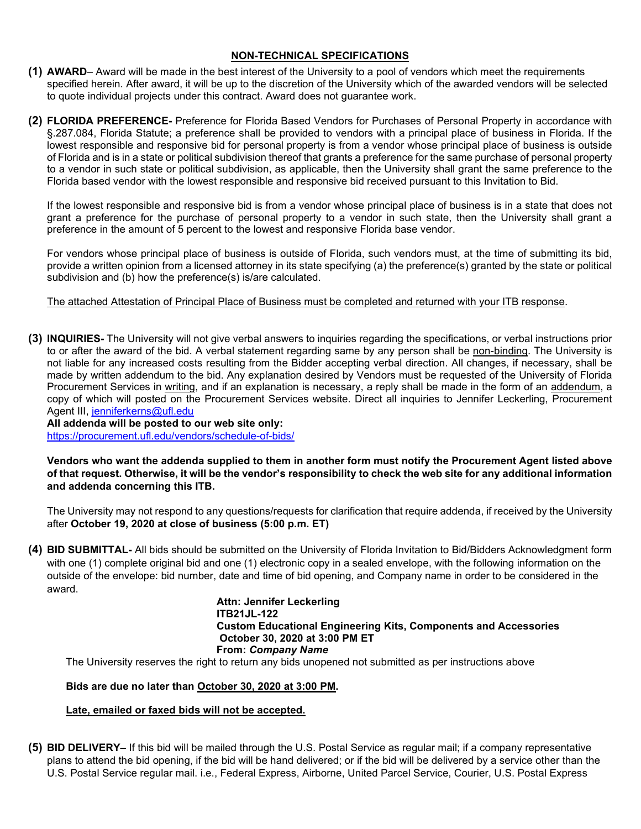#### **NON-TECHNICAL SPECIFICATIONS**

- **(1) AWARD** Award will be made in the best interest of the University to a pool of vendors which meet the requirements specified herein. After award, it will be up to the discretion of the University which of the awarded vendors will be selected to quote individual projects under this contract. Award does not guarantee work.
- **(2) FLORIDA PREFERENCE-** Preference for Florida Based Vendors for Purchases of Personal Property in accordance with §.287.084, Florida Statute; a preference shall be provided to vendors with a principal place of business in Florida. If the lowest responsible and responsive bid for personal property is from a vendor whose principal place of business is outside of Florida and is in a state or political subdivision thereof that grants a preference for the same purchase of personal property to a vendor in such state or political subdivision, as applicable, then the University shall grant the same preference to the Florida based vendor with the lowest responsible and responsive bid received pursuant to this Invitation to Bid.

If the lowest responsible and responsive bid is from a vendor whose principal place of business is in a state that does not grant a preference for the purchase of personal property to a vendor in such state, then the University shall grant a preference in the amount of 5 percent to the lowest and responsive Florida base vendor.

For vendors whose principal place of business is outside of Florida, such vendors must, at the time of submitting its bid, provide a written opinion from a licensed attorney in its state specifying (a) the preference(s) granted by the state or political subdivision and (b) how the preference(s) is/are calculated.

The attached Attestation of Principal Place of Business must be completed and returned with your ITB response.

**(3) INQUIRIES-** The University will not give verbal answers to inquiries regarding the specifications, or verbal instructions prior to or after the award of the bid. A verbal statement regarding same by any person shall be non-binding. The University is not liable for any increased costs resulting from the Bidder accepting verbal direction. All changes, if necessary, shall be made by written addendum to the bid. Any explanation desired by Vendors must be requested of the University of Florida Procurement Services in writing, and if an explanation is necessary, a reply shall be made in the form of an addendum, a copy of which will posted on the Procurement Services website. Direct all inquiries to Jennifer Leckerling, Procurement Agent III, jenniferkerns@ufl.edu

**All addenda will be posted to our web site only:**  <https://procurement.ufl.edu/vendors/schedule-of-bids/>

**Vendors who want the addenda supplied to them in another form must notify the Procurement Agent listed above of that request. Otherwise, it will be the vendor's responsibility to check the web site for any additional information and addenda concerning this ITB.**

The University may not respond to any questions/requests for clarification that require addenda, if received by the University after **October 19, 2020 at close of business (5:00 p.m. ET)**

**(4) BID SUBMITTAL-** All bids should be submitted on the University of Florida Invitation to Bid/Bidders Acknowledgment form with one (1) complete original bid and one (1) electronic copy in a sealed envelope, with the following information on the outside of the envelope: bid number, date and time of bid opening, and Company name in order to be considered in the award.

> **Attn: Jennifer Leckerling ITB21JL-122 Custom Educational Engineering Kits, Components and Accessories October 30, 2020 at 3:00 PM ET From:** *Company Name*

The University reserves the right to return any bids unopened not submitted as per instructions above

#### **Bids are due no later than October 30, 2020 at 3:00 PM.**

#### **Late, emailed or faxed bids will not be accepted.**

**(5) BID DELIVERY–** If this bid will be mailed through the U.S. Postal Service as regular mail; if a company representative plans to attend the bid opening, if the bid will be hand delivered; or if the bid will be delivered by a service other than the U.S. Postal Service regular mail. i.e., Federal Express, Airborne, United Parcel Service, Courier, U.S. Postal Express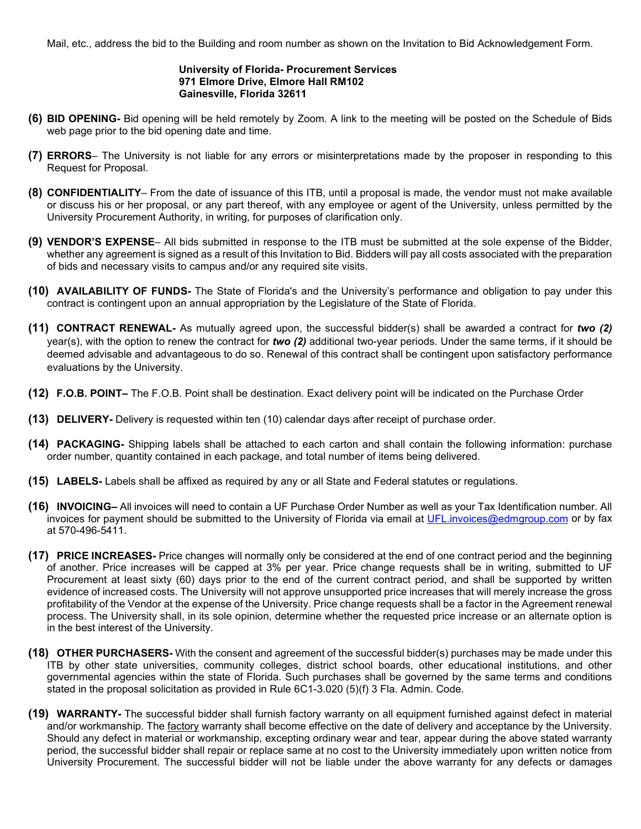Mail, etc., address the bid to the Building and room number as shown on the Invitation to Bid Acknowledgement Form.

#### **University of Florida- Procurement Services 971 Elmore Drive, Elmore Hall RM102 Gainesville, Florida 32611**

- **(6) BID OPENING-** Bid opening will be held remotely by Zoom. A link to the meeting will be posted on the Schedule of Bids web page prior to the bid opening date and time.
- **(7) ERRORS** The University is not liable for any errors or misinterpretations made by the proposer in responding to this Request for Proposal.
- **(8) CONFIDENTIALITY** From the date of issuance of this ITB, until a proposal is made, the vendor must not make available or discuss his or her proposal, or any part thereof, with any employee or agent of the University, unless permitted by the University Procurement Authority, in writing, for purposes of clarification only.
- **(9) VENDOR'S EXPENSE** All bids submitted in response to the ITB must be submitted at the sole expense of the Bidder, whether any agreement is signed as a result of this Invitation to Bid. Bidders will pay all costs associated with the preparation of bids and necessary visits to campus and/or any required site visits.
- **(10) AVAILABILITY OF FUNDS-** The State of Florida's and the University's performance and obligation to pay under this contract is contingent upon an annual appropriation by the Legislature of the State of Florida.
- **(11) CONTRACT RENEWAL-** As mutually agreed upon, the successful bidder(s) shall be awarded a contract for *two (2)* year(s), with the option to renew the contract for *two (2)* additional two-year periods. Under the same terms, if it should be deemed advisable and advantageous to do so. Renewal of this contract shall be contingent upon satisfactory performance evaluations by the University.
- **(12) F.O.B. POINT–** The F.O.B. Point shall be destination. Exact delivery point will be indicated on the Purchase Order
- **(13) DELIVERY-** Delivery is requested within ten (10) calendar days after receipt of purchase order.
- **(14) PACKAGING-** Shipping labels shall be attached to each carton and shall contain the following information: purchase order number, quantity contained in each package, and total number of items being delivered.
- **(15) LABELS-** Labels shall be affixed as required by any or all State and Federal statutes or regulations.
- **(16) INVOICING–** All invoices will need to contain a UF Purchase Order Number as well as your Tax Identification number. All invoices for payment should be submitted to the University of Florida via email at [UFL.invoices@edmgroup.com](mailto:UFL.invoices@edmgroup.com) or by fax at 570-496-5411.
- **(17) PRICE INCREASES-** Price changes will normally only be considered at the end of one contract period and the beginning of another. Price increases will be capped at 3% per year. Price change requests shall be in writing, submitted to UF Procurement at least sixty (60) days prior to the end of the current contract period, and shall be supported by written evidence of increased costs. The University will not approve unsupported price increases that will merely increase the gross profitability of the Vendor at the expense of the University. Price change requests shall be a factor in the Agreement renewal process. The University shall, in its sole opinion, determine whether the requested price increase or an alternate option is in the best interest of the University.
- **(18) OTHER PURCHASERS-** With the consent and agreement of the successful bidder(s) purchases may be made under this ITB by other state universities, community colleges, district school boards, other educational institutions, and other governmental agencies within the state of Florida. Such purchases shall be governed by the same terms and conditions stated in the proposal solicitation as provided in Rule 6C1-3.020 (5)(f) 3 Fla. Admin. Code.
- **(19) WARRANTY-** The successful bidder shall furnish factory warranty on all equipment furnished against defect in material and/or workmanship. The factory warranty shall become effective on the date of delivery and acceptance by the University. Should any defect in material or workmanship, excepting ordinary wear and tear, appear during the above stated warranty period, the successful bidder shall repair or replace same at no cost to the University immediately upon written notice from University Procurement. The successful bidder will not be liable under the above warranty for any defects or damages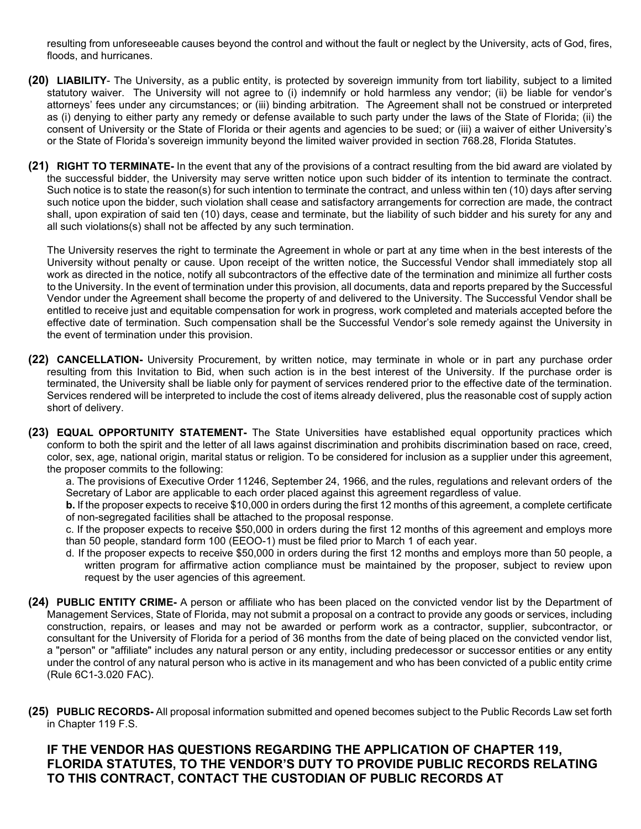resulting from unforeseeable causes beyond the control and without the fault or neglect by the University, acts of God, fires, floods, and hurricanes.

- **(20) LIABILITY** The University, as a public entity, is protected by sovereign immunity from tort liability, subject to a limited statutory waiver. The University will not agree to (i) indemnify or hold harmless any vendor; (ii) be liable for vendor's attorneys' fees under any circumstances; or (iii) binding arbitration. The Agreement shall not be construed or interpreted as (i) denying to either party any remedy or defense available to such party under the laws of the State of Florida; (ii) the consent of University or the State of Florida or their agents and agencies to be sued; or (iii) a waiver of either University's or the State of Florida's sovereign immunity beyond the limited waiver provided in section 768.28, Florida Statutes.
- **(21) RIGHT TO TERMINATE-** In the event that any of the provisions of a contract resulting from the bid award are violated by the successful bidder, the University may serve written notice upon such bidder of its intention to terminate the contract. Such notice is to state the reason(s) for such intention to terminate the contract, and unless within ten (10) days after serving such notice upon the bidder, such violation shall cease and satisfactory arrangements for correction are made, the contract shall, upon expiration of said ten (10) days, cease and terminate, but the liability of such bidder and his surety for any and all such violations(s) shall not be affected by any such termination.

The University reserves the right to terminate the Agreement in whole or part at any time when in the best interests of the University without penalty or cause. Upon receipt of the written notice, the Successful Vendor shall immediately stop all work as directed in the notice, notify all subcontractors of the effective date of the termination and minimize all further costs to the University. In the event of termination under this provision, all documents, data and reports prepared by the Successful Vendor under the Agreement shall become the property of and delivered to the University. The Successful Vendor shall be entitled to receive just and equitable compensation for work in progress, work completed and materials accepted before the effective date of termination. Such compensation shall be the Successful Vendor's sole remedy against the University in the event of termination under this provision.

- **(22) CANCELLATION-** University Procurement, by written notice, may terminate in whole or in part any purchase order resulting from this Invitation to Bid, when such action is in the best interest of the University. If the purchase order is terminated, the University shall be liable only for payment of services rendered prior to the effective date of the termination. Services rendered will be interpreted to include the cost of items already delivered, plus the reasonable cost of supply action short of delivery.
- **(23) EQUAL OPPORTUNITY STATEMENT-** The State Universities have established equal opportunity practices which conform to both the spirit and the letter of all laws against discrimination and prohibits discrimination based on race, creed, color, sex, age, national origin, marital status or religion. To be considered for inclusion as a supplier under this agreement, the proposer commits to the following:

a. The provisions of Executive Order 11246, September 24, 1966, and the rules, regulations and relevant orders of the Secretary of Labor are applicable to each order placed against this agreement regardless of value.

**b.** If the proposer expects to receive \$10,000 in orders during the first 12 months of this agreement, a complete certificate of non-segregated facilities shall be attached to the proposal response.

c. If the proposer expects to receive \$50,000 in orders during the first 12 months of this agreement and employs more than 50 people, standard form 100 (EEOO-1) must be filed prior to March 1 of each year.

- d. If the proposer expects to receive \$50,000 in orders during the first 12 months and employs more than 50 people, a written program for affirmative action compliance must be maintained by the proposer, subject to review upon request by the user agencies of this agreement.
- **(24) PUBLIC ENTITY CRIME-** A person or affiliate who has been placed on the convicted vendor list by the Department of Management Services, State of Florida, may not submit a proposal on a contract to provide any goods or services, including construction, repairs, or leases and may not be awarded or perform work as a contractor, supplier, subcontractor, or consultant for the University of Florida for a period of 36 months from the date of being placed on the convicted vendor list, a "person" or "affiliate" includes any natural person or any entity, including predecessor or successor entities or any entity under the control of any natural person who is active in its management and who has been convicted of a public entity crime (Rule 6C1-3.020 FAC).
- **(25) PUBLIC RECORDS-** All proposal information submitted and opened becomes subject to the Public Records Law set forth in Chapter 119 F.S.

#### **IF THE VENDOR HAS QUESTIONS REGARDING THE APPLICATION OF CHAPTER 119, FLORIDA STATUTES, TO THE VENDOR'S DUTY TO PROVIDE PUBLIC RECORDS RELATING TO THIS CONTRACT, CONTACT THE CUSTODIAN OF PUBLIC RECORDS AT**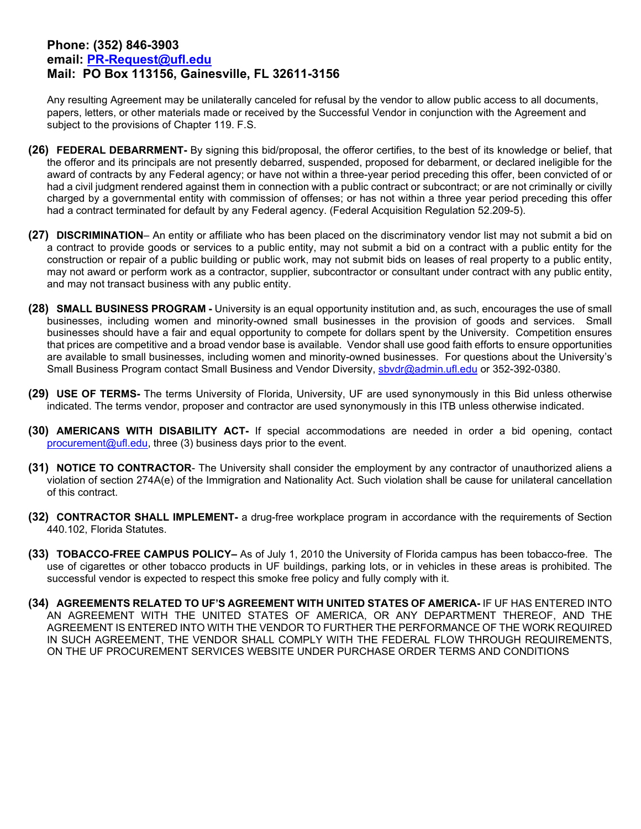#### **Phone: (352) 846-3903 email: [PR-Request@ufl.edu](mailto:PR-Request@ufl.edu) Mail: PO Box 113156, Gainesville, FL 32611-3156**

Any resulting Agreement may be unilaterally canceled for refusal by the vendor to allow public access to all documents, papers, letters, or other materials made or received by the Successful Vendor in conjunction with the Agreement and subject to the provisions of Chapter 119. F.S.

- **(26) FEDERAL DEBARRMENT-** By signing this bid/proposal, the offeror certifies, to the best of its knowledge or belief, that the offeror and its principals are not presently debarred, suspended, proposed for debarment, or declared ineligible for the award of contracts by any Federal agency; or have not within a three-year period preceding this offer, been convicted of or had a civil judgment rendered against them in connection with a public contract or subcontract; or are not criminally or civilly charged by a governmental entity with commission of offenses; or has not within a three year period preceding this offer had a contract terminated for default by any Federal agency. (Federal Acquisition Regulation 52.209-5).
- **(27) DISCRIMINATION** An entity or affiliate who has been placed on the discriminatory vendor list may not submit a bid on a contract to provide goods or services to a public entity, may not submit a bid on a contract with a public entity for the construction or repair of a public building or public work, may not submit bids on leases of real property to a public entity, may not award or perform work as a contractor, supplier, subcontractor or consultant under contract with any public entity, and may not transact business with any public entity.
- **(28) SMALL BUSINESS PROGRAM** University is an equal opportunity institution and, as such, encourages the use of small businesses, including women and minority-owned small businesses in the provision of goods and services. Small businesses should have a fair and equal opportunity to compete for dollars spent by the University. Competition ensures that prices are competitive and a broad vendor base is available. Vendor shall use good faith efforts to ensure opportunities are available to small businesses, including women and minority-owned businesses. For questions about the University's Small Business Program contact Small Business and Vendor Diversity, [sbvdr@admin.ufl.edu](mailto:sbvdr@admin.ufl.edu) or 352-392-0380.
- **(29) USE OF TERMS-** The terms University of Florida, University, UF are used synonymously in this Bid unless otherwise indicated. The terms vendor, proposer and contractor are used synonymously in this ITB unless otherwise indicated.
- **(30) AMERICANS WITH DISABILITY ACT-** If special accommodations are needed in order a bid opening, contact [procurement@ufl.edu,](mailto:procurement@ufl.edu) three (3) business days prior to the event.
- **(31) NOTICE TO CONTRACTOR** The University shall consider the employment by any contractor of unauthorized aliens a violation of section 274A(e) of the Immigration and Nationality Act. Such violation shall be cause for unilateral cancellation of this contract.
- **(32) CONTRACTOR SHALL IMPLEMENT-** a drug-free workplace program in accordance with the requirements of Section 440.102, Florida Statutes.
- **(33) TOBACCO-FREE CAMPUS POLICY–** As of July 1, 2010 the University of Florida campus has been tobacco-free. The use of cigarettes or other tobacco products in UF buildings, parking lots, or in vehicles in these areas is prohibited. The successful vendor is expected to respect this smoke free policy and fully comply with it.
- **(34) AGREEMENTS RELATED TO UF'S AGREEMENT WITH UNITED STATES OF AMERICA-** IF UF HAS ENTERED INTO AN AGREEMENT WITH THE UNITED STATES OF AMERICA, OR ANY DEPARTMENT THEREOF, AND THE AGREEMENT IS ENTERED INTO WITH THE VENDOR TO FURTHER THE PERFORMANCE OF THE WORK REQUIRED IN SUCH AGREEMENT, THE VENDOR SHALL COMPLY WITH THE FEDERAL FLOW THROUGH REQUIREMENTS, ON THE UF PROCUREMENT SERVICES WEBSITE UNDER PURCHASE ORDER TERMS AND CONDITIONS